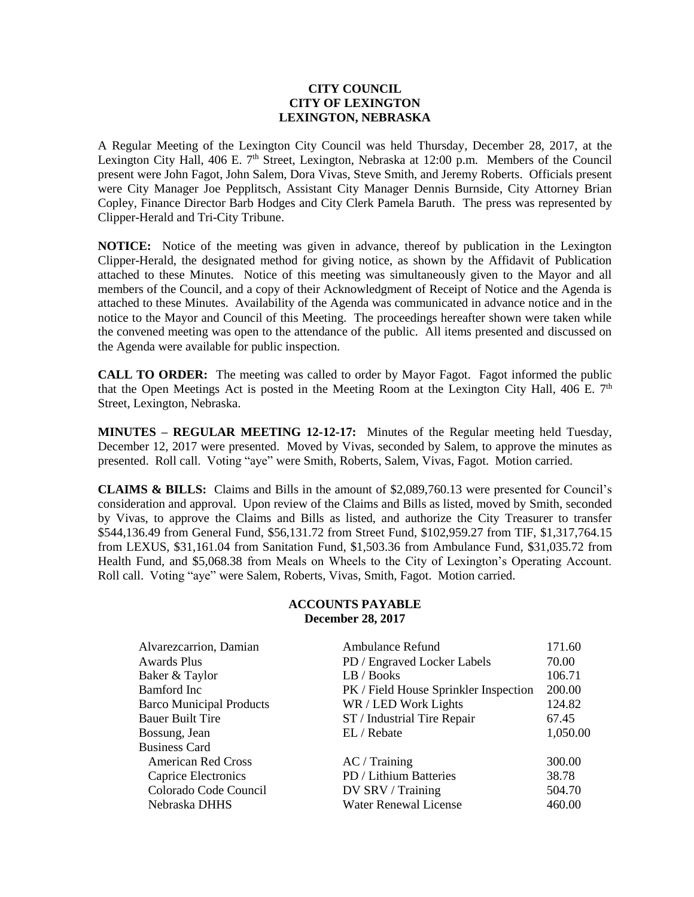## **CITY COUNCIL CITY OF LEXINGTON LEXINGTON, NEBRASKA**

A Regular Meeting of the Lexington City Council was held Thursday, December 28, 2017, at the Lexington City Hall, 406 E.  $7<sup>th</sup>$  Street, Lexington, Nebraska at 12:00 p.m. Members of the Council present were John Fagot, John Salem, Dora Vivas, Steve Smith, and Jeremy Roberts. Officials present were City Manager Joe Pepplitsch, Assistant City Manager Dennis Burnside, City Attorney Brian Copley, Finance Director Barb Hodges and City Clerk Pamela Baruth. The press was represented by Clipper-Herald and Tri-City Tribune.

**NOTICE:** Notice of the meeting was given in advance, thereof by publication in the Lexington Clipper-Herald, the designated method for giving notice, as shown by the Affidavit of Publication attached to these Minutes. Notice of this meeting was simultaneously given to the Mayor and all members of the Council, and a copy of their Acknowledgment of Receipt of Notice and the Agenda is attached to these Minutes. Availability of the Agenda was communicated in advance notice and in the notice to the Mayor and Council of this Meeting. The proceedings hereafter shown were taken while the convened meeting was open to the attendance of the public. All items presented and discussed on the Agenda were available for public inspection.

**CALL TO ORDER:** The meeting was called to order by Mayor Fagot. Fagot informed the public that the Open Meetings Act is posted in the Meeting Room at the Lexington City Hall, 406 E.  $7<sup>th</sup>$ Street, Lexington, Nebraska.

**MINUTES – REGULAR MEETING 12-12-17:** Minutes of the Regular meeting held Tuesday, December 12, 2017 were presented. Moved by Vivas, seconded by Salem, to approve the minutes as presented. Roll call. Voting "aye" were Smith, Roberts, Salem, Vivas, Fagot. Motion carried.

**CLAIMS & BILLS:** Claims and Bills in the amount of \$2,089,760.13 were presented for Council's consideration and approval. Upon review of the Claims and Bills as listed, moved by Smith, seconded by Vivas, to approve the Claims and Bills as listed, and authorize the City Treasurer to transfer \$544,136.49 from General Fund, \$56,131.72 from Street Fund, \$102,959.27 from TIF, \$1,317,764.15 from LEXUS, \$31,161.04 from Sanitation Fund, \$1,503.36 from Ambulance Fund, \$31,035.72 from Health Fund, and \$5,068.38 from Meals on Wheels to the City of Lexington's Operating Account. Roll call. Voting "aye" were Salem, Roberts, Vivas, Smith, Fagot. Motion carried.

## **ACCOUNTS PAYABLE December 28, 2017**

| Alvarezcarrion, Damian          | <b>Ambulance Refund</b>               | 171.60   |
|---------------------------------|---------------------------------------|----------|
| <b>Awards Plus</b>              | PD / Engraved Locker Labels           | 70.00    |
| Baker & Taylor                  | LB / Books                            | 106.71   |
| Bamford Inc                     | PK / Field House Sprinkler Inspection | 200.00   |
| <b>Barco Municipal Products</b> | WR / LED Work Lights                  | 124.82   |
| <b>Bauer Built Tire</b>         | ST / Industrial Tire Repair           | 67.45    |
| Bossung, Jean                   | EL / Rebate                           | 1,050.00 |
| <b>Business Card</b>            |                                       |          |
| <b>American Red Cross</b>       | AC / Training                         | 300.00   |
| Caprice Electronics             | PD / Lithium Batteries                | 38.78    |
| Colorado Code Council           | DV SRV / Training                     | 504.70   |
| Nebraska DHHS                   | <b>Water Renewal License</b>          | 460.00   |
|                                 |                                       |          |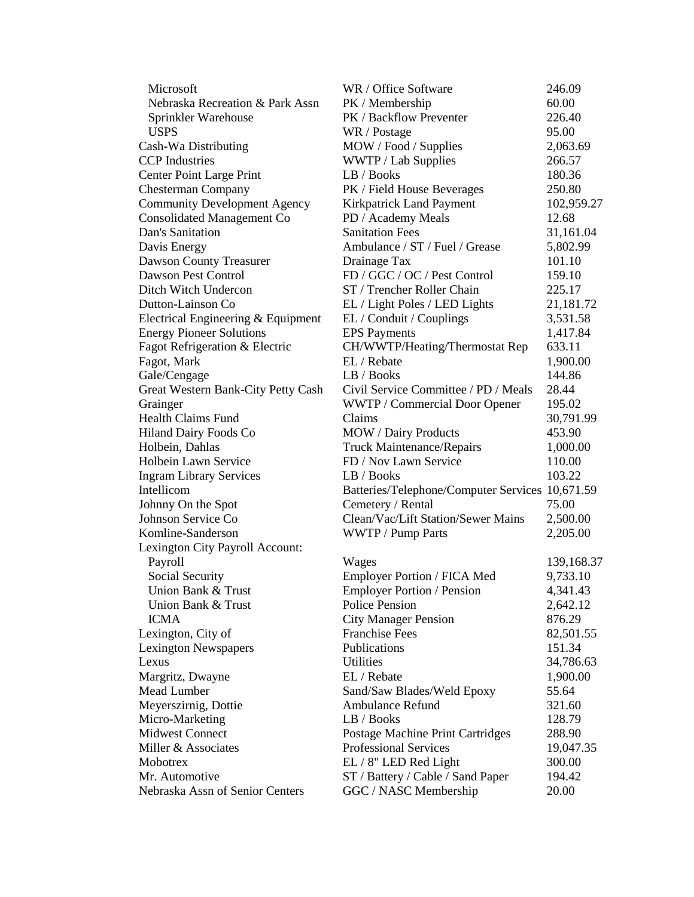| Microsoft                           | WR / Office Software                            | 246.09     |
|-------------------------------------|-------------------------------------------------|------------|
| Nebraska Recreation & Park Assn     | PK / Membership                                 | 60.00      |
| Sprinkler Warehouse                 | PK / Backflow Preventer                         | 226.40     |
| <b>USPS</b>                         | WR / Postage                                    | 95.00      |
| Cash-Wa Distributing                | MOW / Food / Supplies                           | 2,063.69   |
| <b>CCP</b> Industries               | WWTP / Lab Supplies                             | 266.57     |
| Center Point Large Print            | LB / Books                                      | 180.36     |
| <b>Chesterman Company</b>           | PK / Field House Beverages                      | 250.80     |
| <b>Community Development Agency</b> | Kirkpatrick Land Payment                        | 102,959.27 |
| <b>Consolidated Management Co</b>   | PD / Academy Meals                              | 12.68      |
| Dan's Sanitation                    | <b>Sanitation Fees</b>                          | 31,161.04  |
| Davis Energy                        | Ambulance / ST / Fuel / Grease                  | 5,802.99   |
| Dawson County Treasurer             | Drainage Tax                                    | 101.10     |
| Dawson Pest Control                 | FD / GGC / OC / Pest Control                    | 159.10     |
| Ditch Witch Undercon                | ST / Trencher Roller Chain                      | 225.17     |
| Dutton-Lainson Co                   | EL / Light Poles / LED Lights                   | 21,181.72  |
| Electrical Engineering & Equipment  | EL / Conduit / Couplings                        | 3,531.58   |
| <b>Energy Pioneer Solutions</b>     | <b>EPS</b> Payments                             | 1,417.84   |
| Fagot Refrigeration & Electric      | CH/WWTP/Heating/Thermostat Rep                  | 633.11     |
| Fagot, Mark                         | EL / Rebate                                     | 1,900.00   |
| Gale/Cengage                        | LB / Books                                      | 144.86     |
| Great Western Bank-City Petty Cash  | Civil Service Committee / PD / Meals            | 28.44      |
| Grainger                            | WWTP / Commercial Door Opener                   | 195.02     |
| <b>Health Claims Fund</b>           | Claims                                          | 30,791.99  |
| Hiland Dairy Foods Co               | <b>MOW</b> / Dairy Products                     | 453.90     |
| Holbein, Dahlas                     | <b>Truck Maintenance/Repairs</b>                | 1,000.00   |
| Holbein Lawn Service                | FD / Nov Lawn Service                           | 110.00     |
| <b>Ingram Library Services</b>      | LB / Books                                      | 103.22     |
| Intellicom                          | Batteries/Telephone/Computer Services 10,671.59 |            |
| Johnny On the Spot                  | Cemetery / Rental                               | 75.00      |
| Johnson Service Co                  | Clean/Vac/Lift Station/Sewer Mains              | 2,500.00   |
| Komline-Sanderson                   | WWTP / Pump Parts                               | 2,205.00   |
| Lexington City Payroll Account:     |                                                 |            |
| Payroll                             | Wages                                           | 139,168.37 |
| Social Security                     | Employer Portion / FICA Med                     | 9,733.10   |
| Union Bank & Trust                  | <b>Employer Portion / Pension</b>               | 4,341.43   |
| Union Bank & Trust                  | <b>Police Pension</b>                           | 2,642.12   |
| <b>ICMA</b>                         | <b>City Manager Pension</b>                     | 876.29     |
| Lexington, City of                  | <b>Franchise Fees</b>                           | 82,501.55  |
| <b>Lexington Newspapers</b>         | Publications                                    | 151.34     |
| Lexus                               | <b>Utilities</b>                                | 34,786.63  |
| Margritz, Dwayne                    | EL / Rebate                                     | 1,900.00   |
| Mead Lumber                         | Sand/Saw Blades/Weld Epoxy                      | 55.64      |
| Meyerszirnig, Dottie                | <b>Ambulance Refund</b>                         | 321.60     |
| Micro-Marketing                     | LB / Books                                      | 128.79     |
| <b>Midwest Connect</b>              | Postage Machine Print Cartridges                | 288.90     |
| Miller & Associates                 | Professional Services                           | 19,047.35  |
| Mobotrex                            | EL / 8" LED Red Light                           | 300.00     |
| Mr. Automotive                      | ST / Battery / Cable / Sand Paper               | 194.42     |
| Nebraska Assn of Senior Centers     | GGC / NASC Membership                           | 20.00      |
|                                     |                                                 |            |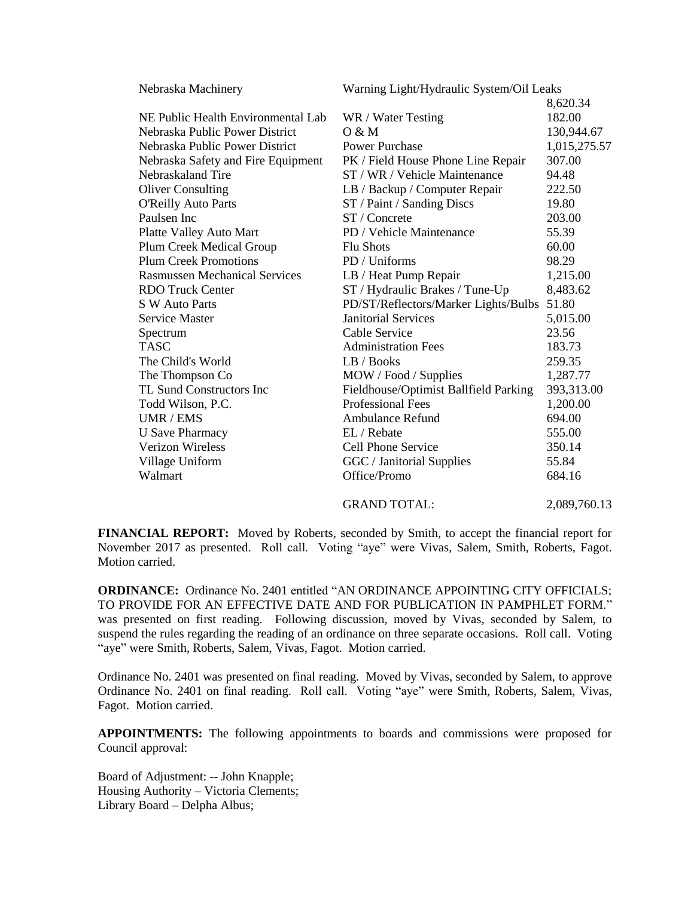| Nebraska Machinery                   | Warning Light/Hydraulic System/Oil Leaks |              |
|--------------------------------------|------------------------------------------|--------------|
|                                      |                                          | 8,620.34     |
| NE Public Health Environmental Lab   | WR / Water Testing                       | 182.00       |
| Nebraska Public Power District       | O & M                                    | 130,944.67   |
| Nebraska Public Power District       | <b>Power Purchase</b>                    | 1,015,275.57 |
| Nebraska Safety and Fire Equipment   | PK / Field House Phone Line Repair       | 307.00       |
| Nebraskaland Tire                    | ST / WR / Vehicle Maintenance            | 94.48        |
| <b>Oliver Consulting</b>             | LB / Backup / Computer Repair            | 222.50       |
| <b>O'Reilly Auto Parts</b>           | ST / Paint / Sanding Discs               | 19.80        |
| Paulsen Inc                          | ST / Concrete                            | 203.00       |
| Platte Valley Auto Mart              | PD / Vehicle Maintenance                 | 55.39        |
| Plum Creek Medical Group             | <b>Flu Shots</b>                         | 60.00        |
| <b>Plum Creek Promotions</b>         | PD / Uniforms                            | 98.29        |
| <b>Rasmussen Mechanical Services</b> | LB / Heat Pump Repair                    | 1,215.00     |
| <b>RDO</b> Truck Center              | ST / Hydraulic Brakes / Tune-Up          | 8,483.62     |
| S W Auto Parts                       | PD/ST/Reflectors/Marker Lights/Bulbs     | 51.80        |
| <b>Service Master</b>                | <b>Janitorial Services</b>               | 5,015.00     |
| Spectrum                             | Cable Service                            | 23.56        |
| <b>TASC</b>                          | <b>Administration Fees</b>               | 183.73       |
| The Child's World                    | LB / Books                               | 259.35       |
| The Thompson Co                      | MOW / Food / Supplies                    | 1,287.77     |
| TL Sund Constructors Inc             | Fieldhouse/Optimist Ballfield Parking    | 393,313.00   |
| Todd Wilson, P.C.                    | <b>Professional Fees</b>                 | 1,200.00     |
| UMR / EMS                            | <b>Ambulance Refund</b>                  | 694.00       |
| <b>U</b> Save Pharmacy               | EL / Rebate                              | 555.00       |
| <b>Verizon Wireless</b>              | Cell Phone Service                       | 350.14       |
| Village Uniform                      | GGC / Janitorial Supplies                | 55.84        |
| Walmart                              | Office/Promo                             | 684.16       |
|                                      | <b>GRAND TOTAL:</b>                      | 2,089,760.13 |

**FINANCIAL REPORT:** Moved by Roberts, seconded by Smith, to accept the financial report for November 2017 as presented. Roll call. Voting "aye" were Vivas, Salem, Smith, Roberts, Fagot. Motion carried.

**ORDINANCE:** Ordinance No. 2401 entitled "AN ORDINANCE APPOINTING CITY OFFICIALS; TO PROVIDE FOR AN EFFECTIVE DATE AND FOR PUBLICATION IN PAMPHLET FORM." was presented on first reading. Following discussion, moved by Vivas, seconded by Salem, to suspend the rules regarding the reading of an ordinance on three separate occasions. Roll call. Voting "aye" were Smith, Roberts, Salem, Vivas, Fagot. Motion carried.

Ordinance No. 2401 was presented on final reading. Moved by Vivas, seconded by Salem, to approve Ordinance No. 2401 on final reading. Roll call. Voting "aye" were Smith, Roberts, Salem, Vivas, Fagot. Motion carried.

**APPOINTMENTS:** The following appointments to boards and commissions were proposed for Council approval:

Board of Adjustment: -- John Knapple; Housing Authority – Victoria Clements; Library Board – Delpha Albus;